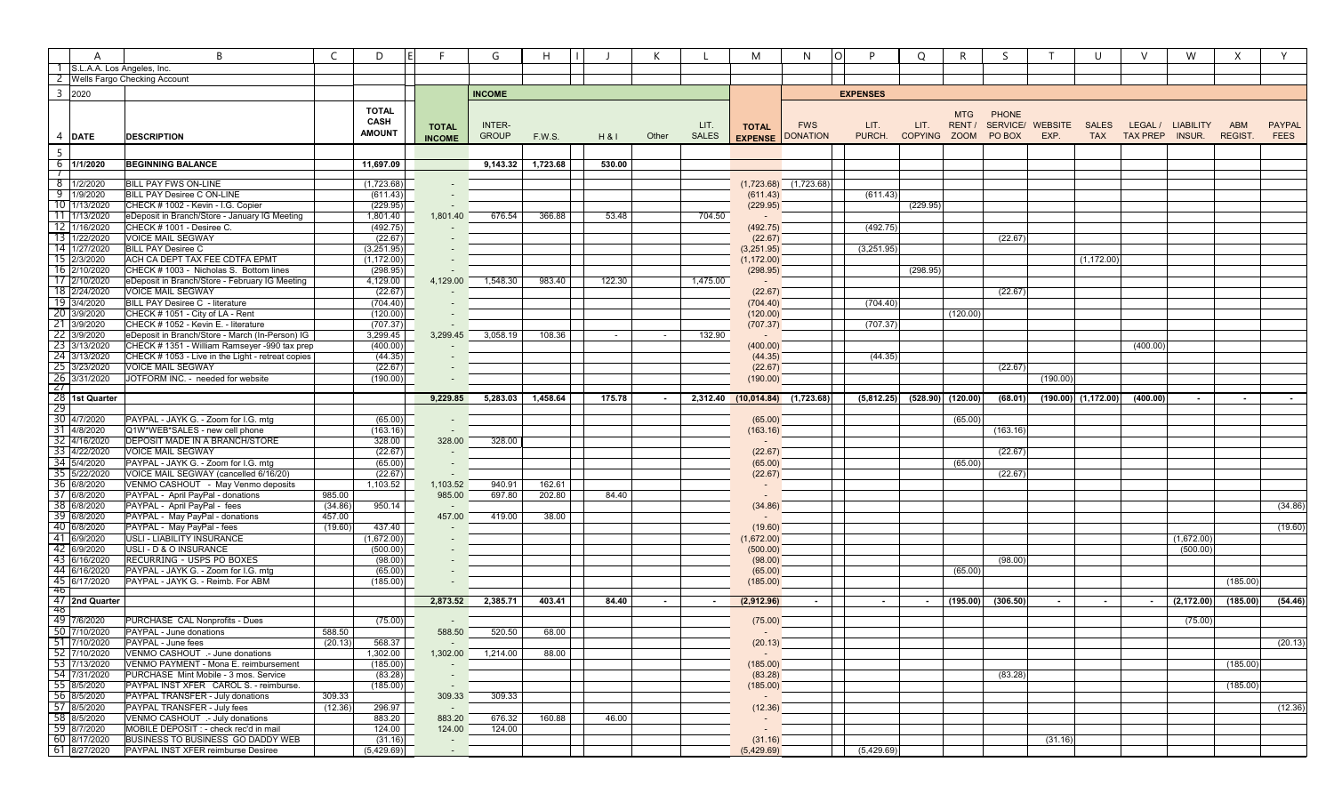|                      | A                                           | B                                                                                         | $\subset$<br>D         |                          | G             | $\mathsf{H}$      |        | К      |              | M                                       | N                         | D               | O        | R.                   |                     |                  | U            | $\vee$              | W                      | X             |               |
|----------------------|---------------------------------------------|-------------------------------------------------------------------------------------------|------------------------|--------------------------|---------------|-------------------|--------|--------|--------------|-----------------------------------------|---------------------------|-----------------|----------|----------------------|---------------------|------------------|--------------|---------------------|------------------------|---------------|---------------|
|                      | S.L.A.A. Los Angeles, Inc.                  |                                                                                           |                        |                          |               |                   |        |        |              |                                         |                           |                 |          |                      |                     |                  |              |                     |                        |               |               |
|                      |                                             | 2 Wells Fargo Checking Account                                                            |                        |                          |               |                   |        |        |              |                                         |                           |                 |          |                      |                     |                  |              |                     |                        |               |               |
|                      | 3 2020                                      |                                                                                           |                        |                          | <b>INCOME</b> |                   |        |        |              |                                         |                           | <b>EXPENSES</b> |          |                      |                     |                  |              |                     |                        |               |               |
|                      |                                             |                                                                                           | <b>TOTAL</b>           |                          |               |                   |        |        |              |                                         |                           |                 |          |                      |                     |                  |              |                     |                        |               |               |
|                      |                                             |                                                                                           | <b>CASH</b>            |                          | INTER-        |                   |        |        | LIT.         |                                         |                           | LIT.            | LIT.     | <b>MTG</b><br>RENT / | PHONE               | SERVICE/ WEBSITE |              | LEGAL /             | <b>LIABILITY</b>       | ABM           | <b>PAYPAL</b> |
|                      | 4 DATE                                      | <b>DESCRIPTION</b>                                                                        | <b>AMOUNT</b>          | <b>TOTAL</b>             | <b>GROUP</b>  | F.W.S.            | H & I  | Other  | <b>SALES</b> | <b>TOTAL</b><br><b>EXPENSE DONATION</b> | <b>FWS</b>                | PURCH.          |          |                      | COPYING ZOOM PO BOX | EXP.             | <b>SALES</b> | TAX TAX PREP INSUR. |                        | <b>REGIST</b> | <b>FEES</b>   |
|                      |                                             |                                                                                           |                        | <b>INCOME</b>            |               |                   |        |        |              |                                         |                           |                 |          |                      |                     |                  |              |                     |                        |               |               |
| $5\overline{)}$      |                                             |                                                                                           |                        |                          |               |                   |        |        |              |                                         |                           |                 |          |                      |                     |                  |              |                     |                        |               |               |
| $\overline{1}$       | $6$ 1/1/2020                                | <b>BEGINNING BALANCE</b>                                                                  | 11,697.09              |                          |               | 9,143.32 1,723.68 | 530.00 |        |              |                                         |                           |                 |          |                      |                     |                  |              |                     |                        |               |               |
|                      | 8 1/2/2020                                  | <b>BILL PAY FWS ON-LINE</b>                                                               | (1,723.68)             |                          |               |                   |        |        |              |                                         | $(1,723.68)$ $(1,723.68)$ |                 |          |                      |                     |                  |              |                     |                        |               |               |
|                      | $9 - 1/9/2020$                              | BILL PAY Desiree C ON-LINE                                                                | (611.43)               |                          |               |                   |        |        |              | (611.43)                                |                           | (611.43)        |          |                      |                     |                  |              |                     |                        |               |               |
|                      | 10 1/13/2020                                | CHECK # 1002 - Kevin - I.G. Copier                                                        | (229.95)               |                          |               |                   |        |        |              | (229.95)                                |                           |                 | (229.95) |                      |                     |                  |              |                     |                        |               |               |
|                      | $11 \overline{1}$ 1/13/2020                 | eDeposit in Branch/Store - January IG Meeting                                             | 1,801.40               | 1,801.40                 | 676.54        | 366.88            | 53.48  |        | 704.50       |                                         |                           |                 |          |                      |                     |                  |              |                     |                        |               |               |
|                      | 12 1/16/2020                                | CHECK # 1001 - Desiree C.                                                                 | (492.75)               |                          |               |                   |        |        |              | (492.75)                                |                           | (492.75)        |          |                      |                     |                  |              |                     |                        |               |               |
|                      | 13 1/22/2020                                | <b>VOICE MAIL SEGWAY</b>                                                                  | (22.67)                |                          |               |                   |        |        |              | (22.67)                                 |                           |                 |          |                      | (22.67)             |                  |              |                     |                        |               |               |
|                      | 14 1/27/2020                                | <b>BILL PAY Desiree C</b>                                                                 | (3,251.95)             |                          |               |                   |        |        |              | (3,251.95)                              |                           | (3,251.95)      |          |                      |                     |                  |              |                     |                        |               |               |
|                      | 15 2/3/2020                                 | ACH CA DEPT TAX FEE CDTFA EPMT                                                            | (1, 172.00)            |                          |               |                   |        |        |              | (1, 172.00)                             |                           |                 |          |                      |                     |                  | (1, 172.00)  |                     |                        |               |               |
|                      | 16 2/10/2020<br>17 2/10/2020                | CHECK # 1003 - Nicholas S. Bottom lines<br>eDeposit in Branch/Store - February IG Meeting | (298.95)<br>4,129.00   | 4,129.00                 | 1,548.30      | 983.40            | 122.30 |        | 1,475.00     | (298.95)                                |                           |                 | (298.95) |                      |                     |                  |              |                     |                        |               |               |
|                      | 18 2/24/2020                                | <b>VOICE MAIL SEGWAY</b>                                                                  | (22.67)                |                          |               |                   |        |        |              | (22.67)                                 |                           |                 |          |                      | (22.67)             |                  |              |                     |                        |               |               |
|                      | 19 3/4/2020                                 | BILL PAY Desiree C - literature                                                           | (704.40)               |                          |               |                   |        |        |              | (704.40)                                |                           | (704.40)        |          |                      |                     |                  |              |                     |                        |               |               |
|                      | 20 3/9/2020                                 | CHECK #1051 - City of LA - Rent                                                           | (120.00)               |                          |               |                   |        |        |              | (120.00)                                |                           |                 |          | (120.00)             |                     |                  |              |                     |                        |               |               |
|                      | 21 3/9/2020                                 | CHECK # 1052 - Kevin E. - literature                                                      | (707.37)               |                          |               |                   |        |        |              | (707.37)                                |                           | (707.37)        |          |                      |                     |                  |              |                     |                        |               |               |
|                      | 22 3/9/2020                                 | eDeposit in Branch/Store - March (In-Person) IG                                           | 3,299.45               | 3,299.45                 | 3,058.19      | 108.36            | $\sim$ | $\sim$ | 132.90       |                                         |                           |                 |          |                      |                     |                  |              |                     |                        |               |               |
|                      | 23 3/13/2020                                | CHECK # 1351 - William Ramseyer -990 tax prep                                             | (400.00)               |                          |               |                   |        |        |              | (400.00)                                |                           |                 |          |                      |                     |                  |              | (400.00)            |                        |               |               |
|                      | 24 3/13/2020                                | CHECK # 1053 - Live in the Light - retreat copies                                         | (44.35)                |                          |               |                   |        |        |              | (44.35)                                 |                           | (44.35)         |          |                      |                     |                  |              |                     |                        |               |               |
|                      | 25 3/23/2020                                | <b>VOICE MAIL SEGWAY</b>                                                                  | (22.67)                |                          |               |                   |        |        |              | (22.67)                                 |                           |                 |          |                      | (22.67)             |                  |              |                     |                        |               |               |
| <sup>26</sup><br>-27 | 3/31/2020                                   | JOTFORM INC. - needed for website                                                         | (190.00)               |                          |               |                   |        |        |              | (190.00)                                |                           |                 |          |                      |                     | (190.00)         |              |                     |                        |               |               |
|                      | 28 1st Quarter                              |                                                                                           |                        | 9,229.85                 | 5,283.03      | 1,458.64          | 175.78 |        | 2,312.40     | $(10,014.84)$ $(1,723.68)$              |                           | (5,812.25)      | (528.90) | (120.00)             | (68.01)             | (190.00)         | (1, 172.00)  | (400.00)            |                        |               |               |
| -29                  |                                             |                                                                                           |                        |                          |               |                   |        |        |              |                                         |                           |                 |          |                      |                     |                  |              |                     |                        |               |               |
|                      | 30 4/7/2020                                 | PAYPAL - JAYK G. - Zoom for I.G. mtg                                                      | (65.00)                |                          |               |                   |        |        |              | (65.00)                                 |                           |                 |          | (65.00)              |                     |                  |              |                     |                        |               |               |
|                      | 31 4/8/2020                                 | Q1W*WEB*SALES - new cell phone                                                            | (163.16)               | $\sim$                   |               |                   |        |        |              | (163.16)                                |                           |                 |          |                      | (163.16)            |                  |              |                     |                        |               |               |
| -32<br>33            | 4/16/2020<br>4/22/2020                      | <b>DEPOSIT MADE IN A BRANCH/STORE</b><br><b>VOICE MAIL SEGWAY</b>                         | 328.00<br>(22.67)      | 328.00                   | 328.00        |                   |        |        |              | (22.67)                                 |                           |                 |          |                      | (22.67)             |                  |              |                     |                        |               |               |
|                      | 34 5/4/2020                                 | PAYPAL - JAYK G. - Zoom for I.G. mtg                                                      | (65.00)                | $\overline{\phantom{a}}$ |               |                   |        |        |              | (65.00)                                 |                           |                 |          | (65.00)              |                     |                  |              |                     |                        |               |               |
|                      | 35 5/22/2020                                | VOICE MAIL SEGWAY (cancelled 6/16/20)                                                     | (22.67)                |                          |               |                   |        |        |              | (22.67)                                 |                           |                 |          |                      | (22.67)             |                  |              |                     |                        |               |               |
|                      | 36 6/8/2020                                 | VENMO CASHOUT - May Venmo deposits                                                        | 1,103.52               | 1,103.52                 | 940.91        | 162.61            |        |        |              |                                         |                           |                 |          |                      |                     |                  |              |                     |                        |               |               |
|                      | 37 6/8/2020                                 | PAYPAL - April PayPal - donations                                                         | 985.00                 | 985.00                   | 697.80        | 202.80            | 84.40  |        |              |                                         |                           |                 |          |                      |                     |                  |              |                     |                        |               |               |
|                      | 38 6/8/2020                                 | PAYPAL - April PayPal - fees                                                              | (34.86)<br>950.14      | $\sim$                   |               |                   |        |        |              | (34.86)                                 |                           |                 |          |                      |                     |                  |              |                     |                        |               | (34.86)       |
|                      | 39 6/8/2020                                 | PAYPAL - May PayPal - donations                                                           | 457.00                 | 457.00                   | 419.00        | 38.00             |        |        |              |                                         |                           |                 |          |                      |                     |                  |              |                     |                        |               |               |
|                      | 40 6/8/2020<br>41 6/9/2020                  | PAYPAL - May PayPal - fees                                                                | (19.60)<br>437.40      |                          |               |                   |        |        |              | (19.60)                                 |                           |                 |          |                      |                     |                  |              |                     |                        |               | (19.60)       |
|                      | 42 6/9/2020                                 | USLI - LIABILITY INSURANCE<br>USLI - D & O INSURANCE                                      | (1,672.00)<br>(500.00) |                          |               |                   |        |        |              | (1,672.00)<br>(500.00)                  |                           |                 |          |                      |                     |                  |              |                     | (1,672.00)<br>(500.00) |               |               |
|                      | 43 6/16/2020                                | RECURRING - USPS PO BOXES                                                                 | (98.00)                |                          |               |                   |        |        |              | (98.00)                                 |                           |                 |          |                      | (98.00)             |                  |              |                     |                        |               |               |
|                      | 44 6/16/2020                                | PAYPAL - JAYK G. - Zoom for I.G. mtg                                                      | (65.00)                |                          |               |                   |        |        |              | (65.00)                                 |                           |                 |          | (65.00)              |                     |                  |              |                     |                        |               |               |
|                      | 45 6/17/2020                                | PAYPAL - JAYK G. - Reimb. For ABM                                                         | (185.00)               |                          |               |                   |        |        |              | (185.00)                                |                           |                 |          |                      |                     |                  |              |                     |                        | (185.00)      |               |
| -46                  |                                             |                                                                                           |                        |                          |               |                   |        |        |              |                                         |                           |                 |          |                      |                     |                  |              |                     |                        |               |               |
| -48                  | 47 2nd Quarter                              |                                                                                           |                        | 2,873.52                 | 2,385.71      | 403.41            | 84.40  | $\sim$ | $\sim$       | (2,912.96)                              | $\sim$                    |                 | $\sim$   | (195.00)             | (306.50)            |                  | $\sim$       | $\sim$              | (2, 172.00)            | (185.00)      | (54.46)       |
|                      | 49 7/6/2020                                 | PURCHASE CAL Nonprofits - Dues                                                            | (75.00)                |                          |               |                   |        |        |              | (75.00)                                 |                           |                 |          |                      |                     |                  |              |                     | (75.00)                |               |               |
|                      | $\frac{50}{51}$ 7/10/2020                   | PAYPAL - June donations                                                                   | 588.50                 | 588.50                   | 520.50        | 68.00             |        |        |              |                                         |                           |                 |          |                      |                     |                  |              |                     |                        |               |               |
|                      | 51 7/10/2020                                | <b>PAYPAL - June fees</b>                                                                 | (20.13)<br>568.37      |                          |               |                   |        |        |              | (20.13)                                 |                           |                 |          |                      |                     |                  |              |                     |                        |               | (20.13)       |
|                      | 52 7/10/2020                                | VENMO CASHOUT .- June donations                                                           | 1,302.00               | 1,302.00                 | 1,214.00      | 88.00             |        |        |              |                                         |                           |                 |          |                      |                     |                  |              |                     |                        |               |               |
|                      | 53 7/13/2020<br>54 7/31/2020<br>55 8/5/2020 | VENMO PAYMENT - Mona E. reimbursement                                                     | (185.00)               | $\sim$                   |               |                   |        |        |              | (185.00)                                |                           |                 |          |                      |                     |                  |              |                     |                        | (185.00)      |               |
|                      |                                             | PURCHASE Mint Mobile - 3 mos. Service                                                     | (83.28)                | $\overline{\phantom{a}}$ |               |                   |        |        |              | (83.28)                                 |                           |                 |          |                      | (83.28)             |                  |              |                     |                        |               |               |
|                      | 56 8/5/2020                                 | PAYPAL INST XFER CAROL S. - reimburse.                                                    | (185.00)               | $\sim$                   |               |                   |        |        |              | (185.00)                                |                           |                 |          |                      |                     |                  |              |                     |                        | (185.00)      |               |
|                      |                                             | PAYPAL TRANSFER - July donations                                                          | 309.33                 | 309.33                   | 309.33        |                   |        |        |              |                                         |                           |                 |          |                      |                     |                  |              |                     |                        |               | (12.36)       |
|                      |                                             |                                                                                           |                        |                          |               |                   |        |        |              |                                         |                           |                 |          |                      |                     |                  |              |                     |                        |               |               |
|                      | 57 8/5/2020                                 | PAYPAL TRANSFER - July fees                                                               | (12.36)<br>296.97      | $\sim$ $-$               |               |                   |        |        |              | (12.36)                                 |                           |                 |          |                      |                     |                  |              |                     |                        |               |               |
|                      | 58 8/5/2020                                 | VENMO CASHOUT .- July donations<br>MOBILE DEPOSIT : - check rec'd in mail                 | 883.20                 | 883.20                   | 676.32        | 160.88            | 46.00  |        |              |                                         |                           |                 |          |                      |                     |                  |              |                     |                        |               |               |
|                      | 59 8/7/2020<br>60 8/17/2020<br>61 8/27/2020 | BUSINESS TO BUSINESS GO DADDY WEB                                                         | 124.00<br>(31.16)      | 124.00<br>$\sim$         | 124.00        |                   |        |        |              | (31.16)                                 |                           |                 |          |                      |                     | (31.16)          |              |                     |                        |               |               |